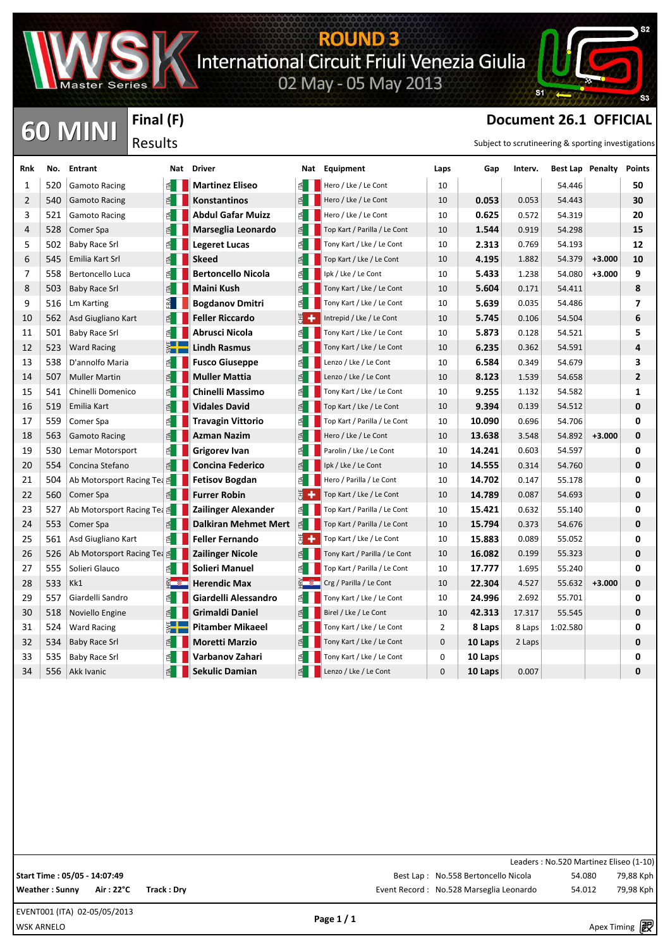

**Final (F)**

Results

# **ROUND 3**<br>International Circuit Friuli Venezia Giulia<br>02 May - 05 May 2013



### **CO MINI** Final (F) **Document 26.1 OFFICIAL CO** MINI

| Rnk | No. | <b>Entrant</b>                        |        | Nat Driver                  |              | Nat Equipment                 | Laps | Gap     | Interv. |          | Best Lap Penalty | <b>Points</b>  |
|-----|-----|---------------------------------------|--------|-----------------------------|--------------|-------------------------------|------|---------|---------|----------|------------------|----------------|
| 1   | 520 | <b>Gamoto Racing</b>                  |        | <b>Martinez Eliseo</b>      |              | Hero / Lke / Le Cont          | 10   |         |         | 54.446   |                  | 50             |
| 2   | 540 | <b>Gamoto Racing</b>                  |        | <b>Konstantinos</b>         |              | Hero / Lke / Le Cont          | 10   | 0.053   | 0.053   | 54.443   |                  | 30             |
| 3   | 521 | <b>Gamoto Racing</b>                  | 죕      | <b>Abdul Gafar Muizz</b>    | 1 ≧          | Hero / Lke / Le Cont          | 10   | 0.625   | 0.572   | 54.319   |                  | 20             |
| 4   | 528 | Comer Spa                             | 죕      | Marseglia Leonardo          | 1 ≧          | Top Kart / Parilla / Le Cont  | 10   | 1.544   | 0.919   | 54.298   |                  | 15             |
| 5   | 502 | <b>Baby Race Srl</b>                  |        | <b>Legeret Lucas</b>        | $\leq$       | Tony Kart / Lke / Le Cont     | 10   | 2.313   | 0.769   | 54.193   |                  | 12             |
| 6   | 545 | Emilia Kart Srl                       |        | <b>Skeed</b>                |              | Top Kart / Lke / Le Cont      | 10   | 4.195   | 1.882   | 54.379   | $+3.000$         | 10             |
| 7   | 558 | Bertoncello Luca                      |        | <b>Bertoncello Nicola</b>   |              | Ipk / Lke / Le Cont           | 10   | 5.433   | 1.238   | 54.080   | $+3.000$         | 9              |
| 8   | 503 | <b>Baby Race Srl</b>                  |        | Maini Kush                  |              | Tony Kart / Lke / Le Cont     | 10   | 5.604   | 0.171   | 54.411   |                  | 8              |
| 9   | 516 | Lm Karting                            |        | <b>Bogdanov Dmitri</b>      |              | Tony Kart / Lke / Le Cont     | 10   | 5.639   | 0.035   | 54.486   |                  | 7              |
| 10  | 562 | Asd Giugliano Kart                    |        | <b>Feller Riccardo</b>      | 医卡           | Intrepid / Lke / Le Cont      | 10   | 5.745   | 0.106   | 54.504   |                  | 6              |
| 11  | 501 | <b>Baby Race Srl</b>                  |        | Abrusci Nicola              |              | Tony Kart / Lke / Le Cont     | 10   | 5.873   | 0.128   | 54.521   |                  | 5              |
| 12  | 523 | <b>Ward Racing</b>                    |        | <b>Lindh Rasmus</b>         |              | Tony Kart / Lke / Le Cont     | 10   | 6.235   | 0.362   | 54.591   |                  | 4              |
| 13  | 538 | D'annolfo Maria                       |        | <b>Fusco Giuseppe</b>       |              | Lenzo / Lke / Le Cont         | 10   | 6.584   | 0.349   | 54.679   |                  | 3              |
| 14  | 507 | <b>Muller Martin</b>                  |        | <b>Muller Mattia</b>        |              | Lenzo / Lke / Le Cont         | 10   | 8.123   | 1.539   | 54.658   |                  | $\overline{2}$ |
| 15  | 541 | Chinelli Domenico                     |        | Chinelli Massimo            |              | Tony Kart / Lke / Le Cont     | 10   | 9.255   | 1.132   | 54.582   |                  | 1              |
| 16  | 519 | Emilia Kart                           |        | <b>Vidales David</b>        |              | Top Kart / Lke / Le Cont      | 10   | 9.394   | 0.139   | 54.512   |                  | 0              |
| 17  | 559 | Comer Spa                             |        | <b>Travagin Vittorio</b>    |              | Top Kart / Parilla / Le Cont  | 10   | 10.090  | 0.696   | 54.706   |                  | 0              |
| 18  | 563 | <b>Gamoto Racing</b>                  |        | <b>Azman Nazim</b>          |              | Hero / Lke / Le Cont          | 10   | 13.638  | 3.548   | 54.892   | $+3.000$         | $\mathbf 0$    |
| 19  | 530 | Lemar Motorsport                      | £.     | <b>Grigorev Ivan</b>        |              | Parolin / Lke / Le Cont       | 10   | 14.241  | 0.603   | 54.597   |                  | 0              |
| 20  | 554 | Concina Stefano                       | $\leq$ | <b>Concina Federico</b>     |              | Ipk / Lke / Le Cont           | 10   | 14.555  | 0.314   | 54.760   |                  | 0              |
| 21  | 504 | Ab Motorsport Racing Tea <b>E</b>     |        | <b>Fetisov Bogdan</b>       |              | Hero / Parilla / Le Cont      | 10   | 14.702  | 0.147   | 55.178   |                  | 0              |
| 22  | 560 | Comer Spa                             | 된      | Furrer Robin                |              | Top Kart / Lke / Le Cont      | 10   | 14.789  | 0.087   | 54.693   |                  | 0              |
| 23  | 527 | Ab Motorsport Racing Tea <sup>g</sup> |        | Zailinger Alexander         |              | Top Kart / Parilla / Le Cont  | 10   | 15.421  | 0.632   | 55.140   |                  | 0              |
| 24  | 553 | Comer Spa                             |        | <b>Dalkiran Mehmet Mert</b> | $\mathbb{E}$ | Top Kart / Parilla / Le Cont  | 10   | 15.794  | 0.373   | 54.676   |                  | 0              |
| 25  | 561 | Asd Giugliano Kart                    | 1 ⊵    | <b>Feller Fernando</b>      | E +          | Top Kart / Lke / Le Cont      | 10   | 15.883  | 0.089   | 55.052   |                  | 0              |
| 26  | 526 | Ab Motorsport Racing Tea ₫            |        | <b>Zailinger Nicole</b>     |              | Tony Kart / Parilla / Le Cont | 10   | 16.082  | 0.199   | 55.323   |                  | 0              |
| 27  | 555 | Solieri Glauco                        | 띕      | Solieri Manuel              |              | Top Kart / Parilla / Le Cont  | 10   | 17.777  | 1.695   | 55.240   |                  | 0              |
| 28  | 533 | Kk1                                   |        | <b>Herendic Max</b>         |              | Crg / Parilla / Le Cont       | 10   | 22.304  | 4.527   | 55.632   | $+3.000$         | 0              |
| 29  | 557 | Giardelli Sandro                      |        | Giardelli Alessandro        |              | Tony Kart / Lke / Le Cont     | 10   | 24.996  | 2.692   | 55.701   |                  | 0              |
| 30  | 518 | Noviello Engine                       |        | <b>Grimaldi Daniel</b>      |              | Birel / Lke / Le Cont         | 10   | 42.313  | 17.317  | 55.545   |                  | $\mathbf 0$    |
| 31  | 524 | <b>Ward Racing</b>                    |        | <b>Pitamber Mikaeel</b>     |              | Tony Kart / Lke / Le Cont     | 2    | 8 Laps  | 8 Laps  | 1:02.580 |                  | 0              |
| 32  | 534 | <b>Baby Race Srl</b>                  |        | <b>Moretti Marzio</b>       |              | Tony Kart / Lke / Le Cont     | 0    | 10 Laps | 2 Laps  |          |                  | 0              |
| 33  | 535 | <b>Baby Race Srl</b>                  | ₫      | Varbanov Zahari             | $\leq$       | Tony Kart / Lke / Le Cont     | 0    | 10 Laps |         |          |                  | 0              |
| 34  | 556 | Akk Ivanic                            | 된      | <b>Sekulic Damian</b>       | 1 ≧          | Lenzo / Lke / Le Cont         | 0    | 10 Laps | 0.007   |          |                  | 0              |

Leaders : No.520 Martinez Eliseo (1-10) Best Lap : No.558 Bertoncello Nicola 54.080 79,88 Kph Weather : Sunny Air : 22°C Track : Dry **Exercise 2018** Event Record : No.528 Marseglia Leonardo 54.012 79,98 Kph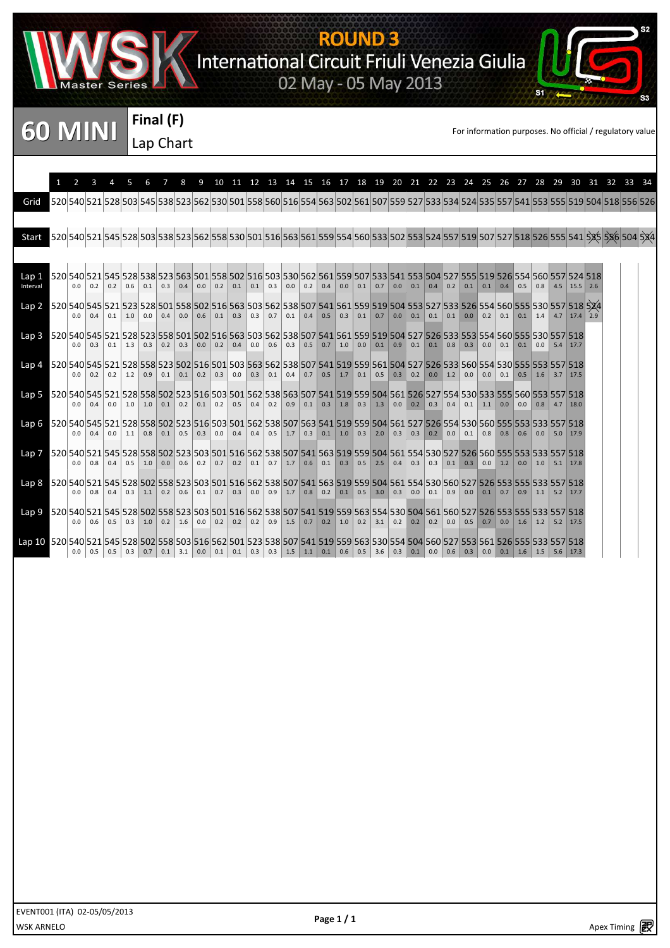

# **ROUND 3**<br>International Circuit Friuli Venezia Giulia<br>02 May - 05 May 2013

**60 MINI** Final (F)<br>Lan Chart Land Chart

**Final (F)** Lap Chart

si

|                                                                                                                                   |     |               |                       | 5   | 6   | $\overline{7}$        | $\mathsf{R}$ |             | 9 10 11 12 13 14 15 16 17 18 19 20 21 22 23 24 25 26 27 28 29 30 31 32 33 34                                                                                                                       |             |                   |             |             |                   |             |     |                         |     |                                                                               |     |           |     |                       |               |                  |             |                                        |                |  |  |
|-----------------------------------------------------------------------------------------------------------------------------------|-----|---------------|-----------------------|-----|-----|-----------------------|--------------|-------------|----------------------------------------------------------------------------------------------------------------------------------------------------------------------------------------------------|-------------|-------------------|-------------|-------------|-------------------|-------------|-----|-------------------------|-----|-------------------------------------------------------------------------------|-----|-----------|-----|-----------------------|---------------|------------------|-------------|----------------------------------------|----------------|--|--|
| Grid                                                                                                                              |     |               |                       |     |     |                       |              |             | 526 555 519 504 518 525 538 529 538 529 539 539 539 540 554 567 528 540 554 567 559 520 541 529 534 524 525 557 541 553 555 519 504 518 556 526                                                    |             |                   |             |             |                   |             |     |                         |     |                                                                               |     |           |     |                       |               |                  |             |                                        |                |  |  |
| Start                                                                                                                             |     |               |                       |     |     |                       |              |             | 520 541 528 528 528 528 528 528 528 529 528 530 521 516 563 561 559 554 560 533 502 553 524 557 519 507 527 518 526 555 541 535 536 504 534                                                        |             |                   |             |             |                   |             |     |                         |     |                                                                               |     |           |     |                       |               |                  |             |                                        |                |  |  |
|                                                                                                                                   |     |               |                       |     |     |                       |              |             |                                                                                                                                                                                                    |             |                   |             |             |                   |             |     |                         |     |                                                                               |     |           |     |                       |               |                  |             |                                        |                |  |  |
| Lap 1<br>Interval                                                                                                                 | 0.0 | 0.2           | 0.2                   | 0.6 | 0.1 | 0.3                   | 0.4          | 0.0         | 520 540 521 545 528 538 523 563 501 558 502 516 503 530 562 561 559 507 533 541 553 504 527 555 519 526 554 560 557 524 518<br>$0.2 \ 0.1$                                                         |             | 0.1               |             | $0.3 \ 0.0$ |                   | $0.2 \ 0.4$ | 0.0 | $0.1 \ 0.7$             |     | $0.0$ 0.1 0.4 0.2                                                             |     |           |     | $0.1$ 0.1 0.4         |               | 0.5              | 0.8         |                                        | $4.5$ 15.5 2.6 |  |  |
| Lap 2 520 540 545 521 523 528 501 558 502 516 563 503 562 538 507 541 561 559 519 504 553 527 533 526 554 560 555 530 557 518 524 |     |               |                       |     |     |                       |              |             | 0.0 0.4 0.1 1.0 0.0 0.4 0.0 0.6 0.1 0.3 0.3 0.7 0.1 0.4 0.5 0.3 0.1 0.7 0.0 0.1 0.1 0.1 0.1 0.0 0.2 0.1 0.1 1.4 4.7 17.4 2.9                                                                       |             |                   |             |             |                   |             |     |                         |     |                                                                               |     |           |     |                       |               |                  |             |                                        |                |  |  |
| Lap 3 520 540 545 521 528 523 558 501 502 516 563 503 562 538 507 541 561 559 519 504 527 526 533 553 554 560 555 530 557 518     |     |               |                       |     |     |                       |              |             | $0.0$ 0.3 0.1 1.3 0.3 0.2 0.3 0.0 0.2 0.4                                                                                                                                                          |             | $0.0$ 0.6 0.3 0.5 |             |             |                   |             |     |                         |     |                                                                               |     |           |     |                       | $0.0$ 0.1 0.1 |                  | 0.0         | $5.4$ 17.7                             |                |  |  |
| Lap 4                                                                                                                             | 0.0 |               | $0.2$ 0.2 1.2 0.9     |     |     | 0.1                   |              | $0.1 \ 0.2$ | 520 540 545 521 528 558 523 502 516 501 503 563 562 538 507 541 519 559 561 504 527 526 533 560 554 530 555 553 557 518<br>0.3                                                                     | 0.0         | 0.3               | $0.1 \ 0.4$ |             | 0.7               |             |     | $0.5$   1.7   0.1   0.5 | 0.3 | 0.2                                                                           |     | $0.0$ 1.2 | 0.0 | $0.0 \ 0.1$           |               | 0.5              | $\vert$ 1.6 | $3.7$ 17.5                             |                |  |  |
| Lap 5 520 540 545 521 528 558 502 523 516 503 501 562 538 563 507 541 519 559 504 561 526 527 554 530 533 555 560 553 557 518     |     |               | $0.0$ 0.4 0.0 1.0 1.0 |     |     |                       |              |             | $0.1$ 0.2 0.1 0.2 0.5                                                                                                                                                                              |             | 0.4               |             |             |                   |             |     |                         |     | $0.2$ 0.9 0.1 0.3 1.8 0.3 1.3 0.0 0.2 0.3                                     |     |           |     | $0.1$ 1.1 0.0         |               | $\overline{0.0}$ | 0.8         | 4.7                                    | 18.0           |  |  |
| Lap 6                                                                                                                             |     |               | $0.0$ 0.4 0.0         |     |     | $1.1$ 0.8 0.1 0.5 0.3 |              |             | 552 553 553 553 554 558 562 555 562 553 564 567 563 541 519 559 504 561 527 526 554 530 560 555 553 553 557 518                                                                                    | $0.0 \ 0.4$ |                   |             |             |                   |             |     |                         |     | $0.4$   0.5   1.7   0.3   0.1   1.0   0.3   2.0   0.3   0.3   0.2   0.0   0.1 |     |           |     |                       |               |                  |             | $0.8$ 0.8 0.6 0.0 5.0 17.9             |                |  |  |
| Lap 7                                                                                                                             |     |               |                       |     |     |                       |              |             | 557 553 553 554 556 556 557 518 557 541 558 559 569 541 553 559 559 559 554 555 557 558 559 555 557 558 557 518<br>0.0 0.8 0.4 0.5 1.0 0.0 0.6 0.2 0.7 0.2 0.1 0.7 1.7 0.6 0.1 0.3 0.5 2.5 0.4 0.3 |             |                   |             |             |                   |             |     |                         |     |                                                                               |     |           |     |                       |               |                  |             | $0.3$ 0.1 0.3 0.0 1.2 0.0 1.0 5.1 17.8 |                |  |  |
| Lap 8 520 540 521 545 528 502 558 523 503 501 516 562 538 507 541 563 519 559 504 561 554 530 560 527 526 553 555 533 557 518     |     | $0.0$ 0.8 0.4 |                       |     |     |                       |              |             | $0.3$ 1.1 0.2 0.6 0.1 0.7 0.3                                                                                                                                                                      |             |                   |             |             | $0.0$ 0.9 1.7 0.8 |             |     | $0.2$ 0.1 0.5 3.0       | 0.3 | 0.0                                                                           | 0.1 |           |     | $0.9$ 0.0 0.1 0.7 0.9 |               |                  |             | $1.1$ 5.2 17.7                         |                |  |  |
| Lap 9 520 540 521 545 528 502 558 523 503 501 516 562 538 507 541 519 559 563 554 530 504 561 560 527 526 553 555 533 557 518     |     |               |                       |     |     |                       |              |             | 0.0 0.6 0.5 0.3 1.0 0.2 1.6 0.0 0.2 0.2 0.2 0.2 0.9 1.5 0.7 0.2 1.0 0.2 3.1 0.2 0.2 0.2 0.0 0.5 0.7 0.0 1.6 1.2 5.2 17.5                                                                           |             |                   |             |             |                   |             |     |                         |     |                                                                               |     |           |     |                       |               |                  |             |                                        |                |  |  |
| lap 10 520 540 521 545 528 502 558 503 516 562 501 523 538 507 541 519 559 563 530 554 504 560 527 553 561 526 555 533 557 518    | 0.0 |               |                       |     |     |                       |              |             | 0.5 0.5 0.3 0.7 0.1 3.1 0.0 0.1 0.1 0.3 0.3 1.5 1.1 0.1 0.6 0.5 3.6 0.3 0.1 0.0 0.6 0.3 0.0 0.1 1.6 1.5 5.6 17.3                                                                                   |             |                   |             |             |                   |             |     |                         |     |                                                                               |     |           |     |                       |               |                  |             |                                        |                |  |  |